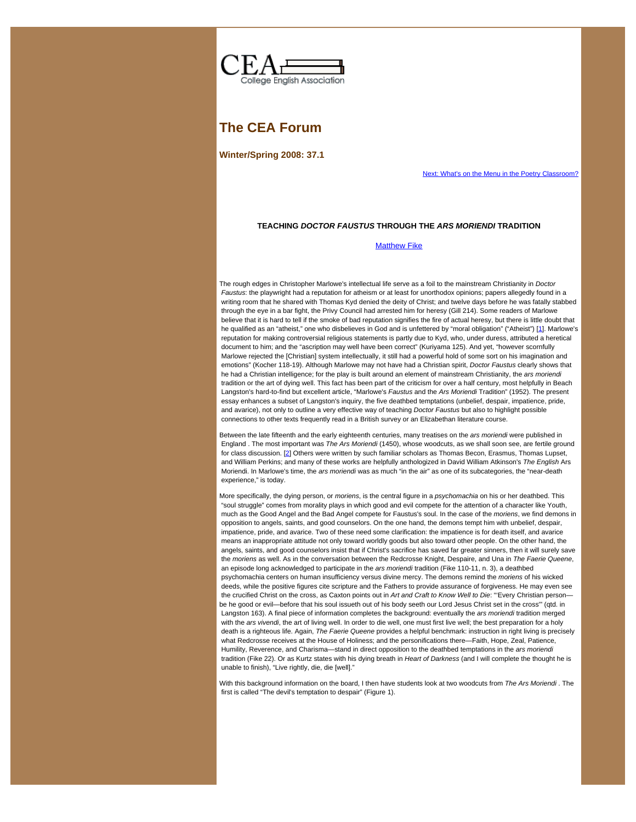<span id="page-0-0"></span>

## **The CEA Forum**

**Winter/Spring 2008: 37.1**

[Next: What's on the Menu in the Poetry Classroom?](https://web.archive.org/web/20100610025116/http://www2.widener.edu/%7Ecea/371getz.htm)

### **TEACHING** *DOCTOR FAUSTUS* **THROUGH THE** *ARS MORIENDI* **TRADITION**

[Matthew Fike](#page-0-0)

<span id="page-0-1"></span>The rough edges in Christopher Marlowe's intellectual life serve as a foil to the mainstream Christianity in *Doctor Faustus*: the playwright had a reputation for atheism or at least for unorthodox opinions; papers allegedly found in a writing room that he shared with Thomas Kyd denied the deity of Christ; and twelve days before he was fatally stabbed through the eye in a bar fight, the Privy Council had arrested him for heresy (Gill 214). Some readers of Marlowe believe that it is hard to tell if the smoke of bad reputation signifies the fire of actual heresy, but there is little doubt that he qualified as an "atheist," one who disbelieves in God and is unfettered by "moral obligation" ("Atheist") [\[1](#page-5-0)]. Marlowe's reputation for making controversial religious statements is partly due to Kyd, who, under duress, attributed a heretical document to him; and the "ascription may well have been correct" (Kuriyama 125). And yet, "however scornfully Marlowe rejected the [Christian] system intellectually, it still had a powerful hold of some sort on his imagination and emotions" (Kocher 118-19). Although Marlowe may not have had a Christian spirit, *Doctor Faustus* clearly shows that he had a Christian intelligence; for the play is built around an element of mainstream Christianity, the *ars moriendi* tradition or the art of dying well. This fact has been part of the criticism for over a half century, most helpfully in Beach Langston's hard-to-find but excellent article, "Marlowe's *Faustus* and the *Ars Moriendi* Tradition" (1952). The present essay enhances a subset of Langston's inquiry, the five deathbed temptations (unbelief, despair, impatience, pride, and avarice), not only to outline a very effective way of teaching *Doctor Faustus* but also to highlight possible connections to other texts frequently read in a British survey or an Elizabethan literature course.

<span id="page-0-2"></span>Between the late fifteenth and the early eighteenth centuries, many treatises on the *ars moriendi* were published in England . The most important was *The Ars Moriendi* (1450), whose woodcuts, as we shall soon see, are fertile ground for class discussion. [\[2](#page-5-1)] Others were written by such familiar scholars as Thomas Becon, Erasmus, Thomas Lupset, and William Perkins; and many of these works are helpfully anthologized in David William Atkinson's *The English* Ars Moriendi. In Marlowe's time, the *ars moriendi* was as much "in the air" as one of its subcategories, the "near-death experience," is today.

More specifically, the dying person, or *moriens*, is the central figure in a *psychomachia* on his or her deathbed. This "soul struggle" comes from morality plays in which good and evil compete for the attention of a character like Youth, much as the Good Angel and the Bad Angel compete for Faustus's soul. In the case of the *moriens*, we find demons in opposition to angels, saints, and good counselors. On the one hand, the demons tempt him with unbelief, despair, impatience, pride, and avarice. Two of these need some clarification: the impatience is for death itself, and avarice means an inappropriate attitude not only toward worldly goods but also toward other people. On the other hand, the angels, saints, and good counselors insist that if Christ's sacrifice has saved far greater sinners, then it will surely save the *moriens* as well. As in the conversation between the Redcrosse Knight, Despaire, and Una in *The Faerie Queene*, an episode long acknowledged to participate in the *ars moriendi* tradition (Fike 110-11, n. 3), a deathbed psychomachia centers on human insufficiency versus divine mercy. The demons remind the *moriens* of his wicked deeds, while the positive figures cite scripture and the Fathers to provide assurance of forgiveness. He may even see the crucified Christ on the cross, as Caxton points out in *Art and Craft to Know Well to Die*: "'Every Christian person be he good or evil—before that his soul issueth out of his body seeth our Lord Jesus Christ set in the cross'" (qtd. in Langston 163). A final piece of information completes the background: eventually the *ars moriendi* tradition merged with the *ars vivendi*, the art of living well. In order to die well, one must first live well; the best preparation for a holy death is a righteous life. Again, *The Faerie Queene* provides a helpful benchmark: instruction in right living is precisely what Redcrosse receives at the House of Holiness; and the personifications there—Faith, Hope, Zeal, Patience, Humility, Reverence, and Charisma—stand in direct opposition to the deathbed temptations in the *ars moriendi* tradition (Fike 22). Or as Kurtz states with his dying breath in *Heart of Darkness* (and I will complete the thought he is unable to finish), "Live rightly, die, die [well]."

With this background information on the board, I then have students look at two woodcuts from *The Ars Moriendi* . The first is called "The devil's temptation to despair" (Figure 1).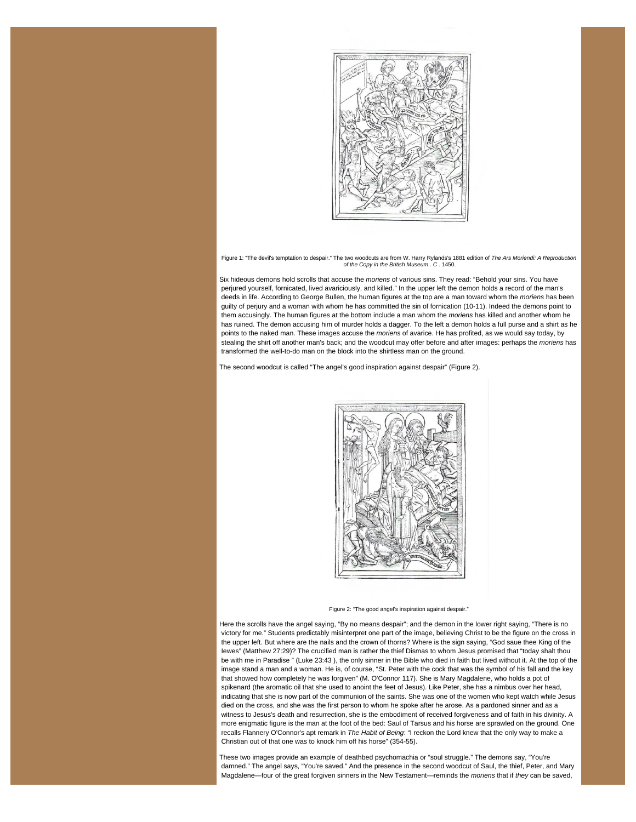

Figure 1: "The devil's temptation to despair." The two woodcuts are from W. Harry Rylands's 1881 edition of *The Ars Moriendi: A Reproduction of the Copy in the British Museum* . *C* . 1450.

Six hideous demons hold scrolls that accuse the *moriens* of various sins. They read: "Behold your sins. You have perjured yourself, fornicated, lived avariciously, and killed." In the upper left the demon holds a record of the man's deeds in life. According to George Bullen, the human figures at the top are a man toward whom the *moriens* has been guilty of perjury and a woman with whom he has committed the sin of fornication (10-11). Indeed the demons point to them accusingly. The human figures at the bottom include a man whom the *moriens* has killed and another whom he has ruined. The demon accusing him of murder holds a dagger. To the left a demon holds a full purse and a shirt as he points to the naked man. These images accuse the *moriens* of avarice. He has profited, as we would say today, by stealing the shirt off another man's back; and the woodcut may offer before and after images: perhaps the *moriens* has transformed the well-to-do man on the block into the shirtless man on the ground.

The second woodcut is called "The angel's good inspiration against despair" (Figure 2).





Here the scrolls have the angel saying, "By no means despair"; and the demon in the lower right saying, "There is no victory for me." Students predictably misinterpret one part of the image, believing Christ to be the figure on the cross in the upper left. But where are the nails and the crown of thorns? Where is the sign saying, "God saue thee King of the Iewes" (Matthew 27:29)? The crucified man is rather the thief Dismas to whom Jesus promised that "today shalt thou be with me in Paradise " (Luke 23:43 ), the only sinner in the Bible who died in faith but lived without it. At the top of the image stand a man and a woman. He is, of course, "St. Peter with the cock that was the symbol of his fall and the key that showed how completely he was forgiven" (M. O'Connor 117). She is Mary Magdalene, who holds a pot of spikenard (the aromatic oil that she used to anoint the feet of Jesus). Like Peter, she has a nimbus over her head, indicating that she is now part of the communion of the saints. She was one of the women who kept watch while Jesus died on the cross, and she was the first person to whom he spoke after he arose. As a pardoned sinner and as a witness to Jesus's death and resurrection, she is the embodiment of received forgiveness and of faith in his divinity. A more enigmatic figure is the man at the foot of the bed: Saul of Tarsus and his horse are sprawled on the ground. One recalls Flannery O'Connor's apt remark in *The Habit of Being*: "I reckon the Lord knew that the only way to make a Christian out of that one was to knock him off his horse" (354-55).

These two images provide an example of deathbed psychomachia or "soul struggle." The demons say, "You're damned." The angel says, "You're saved." And the presence in the second woodcut of Saul, the thief, Peter, and Mary Magdalene—four of the great forgiven sinners in the New Testament—reminds the *moriens* that if *they* can be saved,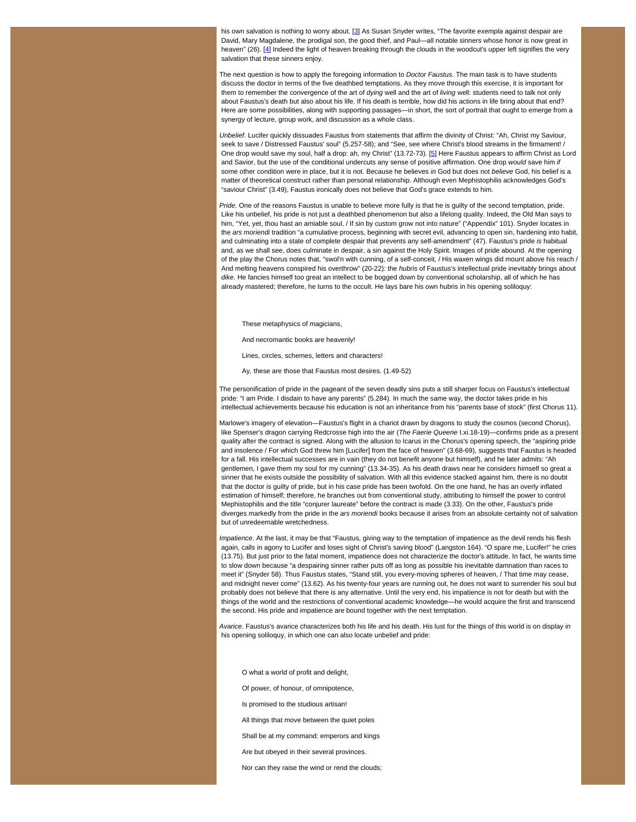<span id="page-2-0"></span> his own salvation is nothing to worry about. [\[3](#page-5-2)] As Susan Snyder writes, "The favorite *exempla* against despair are David, Mary Magdalene, the prodigal son, the good thief, and Paul—all notable sinners whose honor is now great in heaven" (26). [\[4](#page-5-3)] Indeed the light of heaven breaking through the clouds in the woodcut's upper left signifies the very salvation that these sinners enjoy.

<span id="page-2-1"></span>The next question is how to apply the foregoing information to *Doctor Faustus*. The main task is to have students discuss the doctor in terms of the five deathbed temptations. As they move through this exercise, it is important for them to remember the convergence of the art of *dying* well and the art of *living* well: students need to talk not only about Faustus's death but also about his life. If his death is terrible, how did his actions in life bring about that end? Here are some possibilities, along with supporting passages—in short, the sort of portrait that ought to emerge from a synergy of lecture, group work, and discussion as a whole class.

<span id="page-2-2"></span>*Unbelief*. Lucifer quickly dissuades Faustus from statements that affirm the divinity of Christ: "Ah, Christ my Saviour, seek to save / Distressed Faustus' soul" (5.257-58); and "See, see where Christ's blood streams in the firmament! / One drop would save my soul, half a drop: ah, my Christ" (13.72-73). [\[5](#page-5-4)] Here Faustus appears to affirm Christ as Lord and Savior, but the use of the conditional undercuts any sense of positive affirmation. One drop *would* save him *if* some other condition were in place, but it is not. Because he believes *in* God but does not *believe* God, his belief is a matter of theoretical construct rather than personal relationship. Although even Mephistophilis acknowledges God's "saviour Christ" (3.49), Faustus ironically does not believe that God's grace extends to him.

*Pride*. One of the reasons Faustus is unable to believe more fully is that he is guilty of the second temptation, pride. Like his unbelief, his pride is not just a deathbed phenomenon but also a lifelong quality. Indeed, the Old Man says to him, "Yet, yet, thou hast an amiable soul, / If sin by custom grow not into nature" ("Appendix" 101). Snyder locates in the *ars moriendi* tradition "a cumulative process, beginning with secret evil, advancing to open sin, hardening into habit, and culminating into a state of complete despair that prevents any self-amendment" (47). Faustus's pride *is* habitual and, as we shall see, does culminate in despair, a sin against the Holy Spirit. Images of pride abound. At the opening of the play the Chorus notes that, "swol'n with cunning, of a self-conceit, / His waxen wings did mount above his reach / And melting heavens conspired his overthrow" (20-22): the *hubris* of Faustus's intellectual pride inevitably brings about *dike*. He fancies himself too great an intellect to be bogged down by conventional scholarship, all of which he has already mastered; therefore, he turns to the occult. He lays bare his own hubris in his opening soliloquy:

These metaphysics of magicians,

And necromantic books are heavenly!

Lines, circles, schemes, letters and characters!

Ay, these are those that Faustus most desires. (1.49-52)

The personification of pride in the pageant of the seven deadly sins puts a still sharper focus on Faustus's intellectual pride: "I am Pride. I disdain to have any parents" (5.284). In much the same way, the doctor takes pride in his intellectual achievements because his education is not an inheritance from his "parents base of stock" (first Chorus 11).

Marlowe's imagery of elevation—Faustus's flight in a chariot drawn by dragons to study the cosmos (second Chorus), like Spenser's dragon carrying Redcrosse high into the air (*The Faerie Queene* I.xi.18-19)—confirms pride as a present quality after the contract is signed. Along with the allusion to Icarus in the Chorus's opening speech, the "aspiring pride and insolence / For which God threw him [Lucifer] from the face of heaven" (3.68-69), suggests that Faustus is headed for a fall. His intellectual successes are in vain (they do not benefit anyone but himself), and he later admits: "Ah gentlemen, I gave them my soul for my cunning" (13.34-35). As his death draws near he considers himself so great a sinner that he exists outside the possibility of salvation. With all this evidence stacked against him, there is no doubt that the doctor is guilty of pride, but in his case pride has been twofold. On the one hand, he has an overly inflated estimation of himself; therefore, he branches out from conventional study, attributing to himself the power to control Mephistophilis and the title "conjurer laureate" before the contract is made (3.33). On the other, Faustus's pride diverges markedly from the pride in the *ars moriendi* books because it arises from an absolute certainty not of salvation but of unredeemable wretchedness.

*Impatience*. At the last, it may be that "Faustus, giving way to the temptation of impatience as the devil rends his flesh again, calls in agony to Lucifer and loses sight of Christ's saving blood" (Langston 164). "O spare me, Lucifer!" he cries (13.75). But just prior to the fatal moment, impatience does not characterize the doctor's attitude. In fact, he wants time to slow down because "a despairing sinner rather puts off as long as possible his inevitable damnation than races to meet it" (Snyder 58). Thus Faustus states, "Stand still, you every-moving spheres of heaven, / That time may cease, and midnight never come" (13.62). As his twenty-four years are running out, he does not want to surrender his soul but probably does not believe that there is any alternative. Until the very end, his impatience is not for death but with the things of the world and the restrictions of conventional academic knowledge—he would acquire the first and transcend the second. His pride and impatience are bound together with the next temptation.

*Avarice*. Faustus's avarice characterizes both his life and his death. His lust for the things of this world is on display in his opening soliloquy, in which one can also locate unbelief and pride:

O what a world of profit and delight, Of power, of honour, of omnipotence, Is promised to the studious artisan! All things that move between the quiet poles Shall be at my command: emperors and kings Are but obeyed in their several provinces. Nor can they raise the wind or rend the clouds;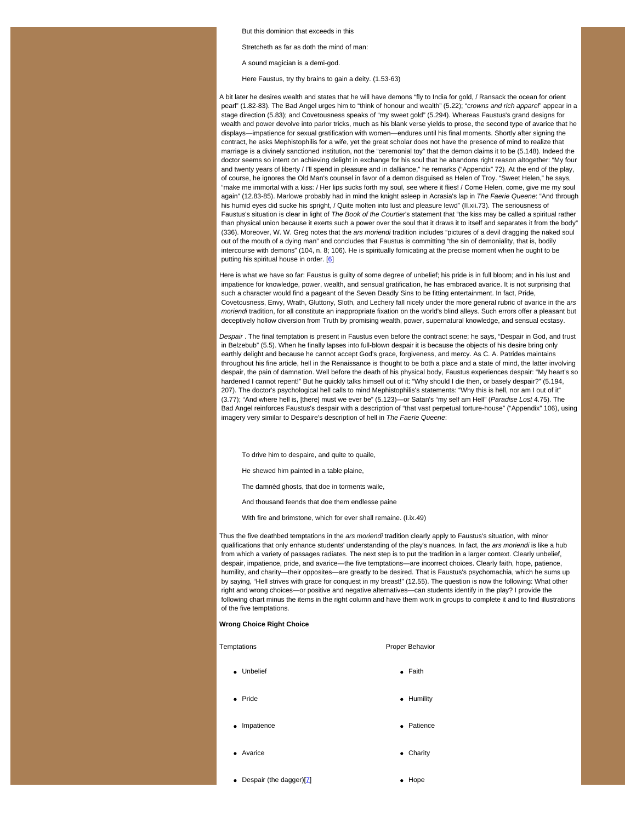But this dominion that exceeds in this

Stretcheth as far as doth the mind of man:

A sound magician is a demi-god.

Here Faustus, try thy brains to gain a deity. (1.53-63)

A bit later he desires wealth and states that he will have demons "fly to India for gold, / Ransack the ocean for orient pearl" (1.82-83). The Bad Angel urges him to "think of honour and wealth" (5.22); "*crowns and rich apparel*" appear in a stage direction (5.83); and Covetousness speaks of "my sweet gold" (5.294). Whereas Faustus's grand designs for wealth and power devolve into parlor tricks, much as his blank verse yields to prose, the second type of avarice that he displays—impatience for sexual gratification with women—endures until his final moments. Shortly after signing the contract, he asks Mephistophilis for a wife, yet the great scholar does not have the presence of mind to realize that marriage is a divinely sanctioned institution, not the "ceremonial toy" that the demon claims it to be (5.148). Indeed the doctor seems so intent on achieving delight in exchange for his soul that he abandons right reason altogether: "My four and twenty years of liberty / I'll spend in pleasure and in dalliance," he remarks ("Appendix" 72). At the end of the play, of course, he ignores the Old Man's counsel in favor of a demon disguised as Helen of Troy. "Sweet Helen," he says, "make me immortal with a kiss: / Her lips sucks forth my soul, see where it flies! / Come Helen, come, give me my soul again" (12.83-85). Marlowe probably had in mind the knight asleep in Acrasia's lap in *The Faerie Queene*: "And through his humid eyes did sucke his spright, / Quite molten into lust and pleasure lewd" (Il.xii.73). The seriousness of Faustus's situation is clear in light of *The Book of the Courtier*'s statement that "the kiss may be called a spiritual rather than physical union because it exerts such a power over the soul that it draws it to itself and separates it from the body" (336). Moreover, W. W. Greg notes that the *ars moriendi* tradition includes "pictures of a devil dragging the naked soul out of the mouth of a dying man" and concludes that Faustus is committing "the sin of demoniality, that is, bodily intercourse with demons" (104, n. 8; 106). He is spiritually fornicating at the precise moment when he ought to be putting his spiritual house in order. [\[6](#page-5-5)]

Here is what we have so far: Faustus is guilty of some degree of unbelief; his pride is in full bloom; and in his lust and impatience for knowledge, power, wealth, and sensual gratification, he has embraced avarice. It is not surprising that such a character would find a pageant of the Seven Deadly Sins to be fitting entertainment. In fact, Pride, Covetousness, Envy, Wrath, Gluttony, Sloth, and Lechery fall nicely under the more general rubric of avarice in the *ars moriendi* tradition, for all constitute an inappropriate fixation on the world's blind alleys. Such errors offer a pleasant but deceptively hollow diversion from Truth by promising wealth, power, supernatural knowledge, and sensual ecstasy.

*Despair* . The final temptation is present in Faustus even before the contract scene; he says, "Despair in God, and trust in Belzebub" (5.5). When he finally lapses into full-blown despair it is because the objects of his desire bring only earthly delight and because he cannot accept God's grace, forgiveness, and mercy. As C. A. Patrides maintains throughout his fine article, hell in the Renaissance is thought to be both a place and a state of mind, the latter involving despair, the pain of damnation. Well before the death of his physical body, Faustus experiences despair: "My heart's so hardened I cannot repent!" But he quickly talks himself out of it: "Why should I die then, or basely despair?" (5.194, 207). The doctor's psychological hell calls to mind Mephistophilis's statements: "Why this is hell, nor am I out of it" (3.77); "And where hell is, [there] must we ever be" (5.123)—or Satan's "my self am Hell" (*Paradise Lost* 4.75). The Bad Angel reinforces Faustus's despair with a description of "that vast perpetual torture-house" ("Appendix" 106), using imagery very similar to Despaire's description of hell in *The Faerie Queene*:

To drive him to despaire, and quite to quaile,

He shewed him painted in a table plaine,

The damnèd ghosts, that doe in torments waile,

And thousand feends that doe them endlesse paine

With fire and brimstone, which for ever shall remaine. (I.ix.49)

Thus the five deathbed temptations in the *ars moriendi* tradition clearly apply to Faustus's situation, with minor qualifications that only enhance students' understanding of the play's nuances. In fact, the *ars moriendi* is like a hub from which a variety of passages radiates. The next step is to put the tradition in a larger context. Clearly unbelief, despair, impatience, pride, and avarice—the five temptations—are incorrect choices. Clearly faith, hope, patience, humility, and charity—their opposites—are greatly to be desired. That is Faustus's psychomachia, which he sums up by saying, "Hell strives with grace for conquest in my breast!" (12.55). The question is now the following: What other right and wrong choices—or positive and negative alternatives—can students identify in the play? I provide the following chart minus the items in the right column and have them work in groups to complete it and to find illustrations of the five temptations.

### <span id="page-3-0"></span>**Wrong Choice Right Choice**

# Temptations **Proper Behavior** Unbelief **Contract Contract Contract Contract Contract Contract Contract Contract Contract Contract Contract Contract Contract Contract Contract Contract Contract Contract Contract Contract Contract Contract Contract Contr** • Pride **Humility** • Impatience **Patience Patience**

- Avarice **Charity Charity**
- Despair (the dagger) $[7]$  $[7]$   $\bullet$  Hope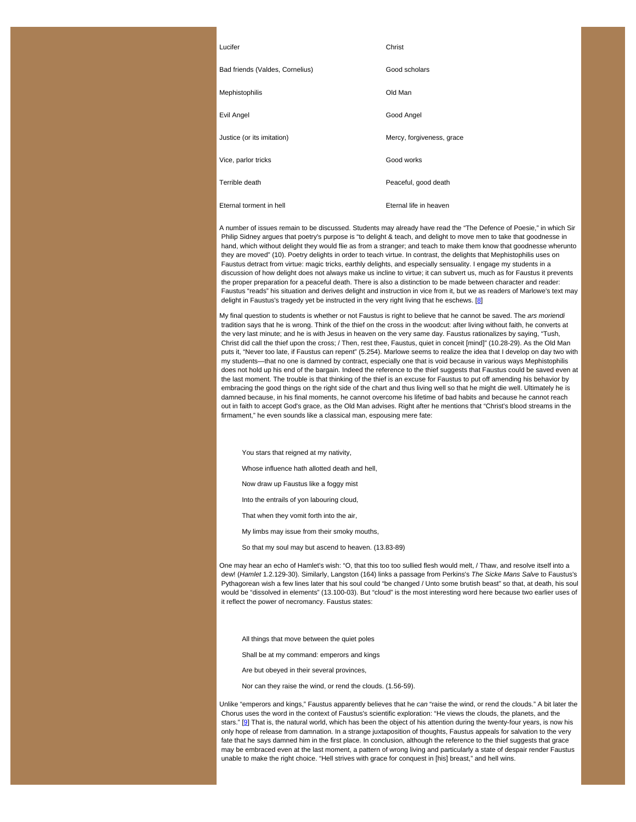| Christ |
|--------|
|        |
|        |

| Bad friends (Valdes, Cornelius) | Good scholars             |
|---------------------------------|---------------------------|
| <b>Mephistophilis</b>           | Old Man                   |
| Evil Angel                      | Good Angel                |
| Justice (or its imitation)      | Mercy, forgiveness, grace |
| Vice, parlor tricks             | Good works                |
| Terrible death                  | Peaceful, good death      |
| Eternal torment in hell         | Eternal life in heaven    |
|                                 |                           |

A number of issues remain to be discussed. Students may already have read the "The Defence of Poesie," in which Sir Philip Sidney argues that poetry's purpose is "to delight & teach, and delight to move men to take that goodnesse in hand, which without delight they would flie as from a stranger; and teach to make them know that goodnesse wherunto they are moved" (10). Poetry delights in order to teach virtue. In contrast, the delights that Mephistophilis uses on Faustus detract from virtue: magic tricks, earthly delights, and especially sensuality. I engage my students in a discussion of how delight does not always make us incline to virtue; it can subvert us, much as for Faustus it prevents the proper preparation for a peaceful death. There is also a distinction to be made between character and reader: Faustus "reads" his situation and derives delight and instruction in vice from it, but we as readers of Marlowe's text may delight in Faustus's tragedy yet be instructed in the very right living that he eschews. [\[8](#page-5-7)]

My final question to students is whether or not Faustus is right to believe that he cannot be saved. The *ars moriendi* tradition says that he is wrong. Think of the thief on the cross in the woodcut: after living without faith, he converts at the very last minute; and he is with Jesus in heaven on the very same day. Faustus rationalizes by saying, "Tush, Christ did call the thief upon the cross; / Then, rest thee, Faustus, quiet in conceit [mind]" (10.28-29). As the Old Man puts it, "Never too late, if Faustus can repent" (5.254). Marlowe seems to realize the idea that I develop on day two with my students—that no one is damned by contract, especially one that is void because in various ways Mephistophilis does not hold up his end of the bargain. Indeed the reference to the thief suggests that Faustus could be saved even at the last moment. The trouble is that thinking of the thief is an excuse for Faustus to put off amending his behavior by embracing the good things on the right side of the chart and thus living well so that he might die well. Ultimately he is damned because, in his final moments, he cannot overcome his lifetime of bad habits and because he cannot reach out in faith to accept God's grace, as the Old Man advises. Right after he mentions that "Christ's blood streams in the firmament," he even sounds like a classical man, espousing mere fate:

You stars that reigned at my nativity,

Whose influence hath allotted death and hell,

- Now draw up Faustus like a foggy mist
- Into the entrails of yon labouring cloud,
- That when they vomit forth into the air,
- My limbs may issue from their smoky mouths,
- So that my soul may but ascend to heaven. (13.83-89)

One may hear an echo of Hamlet's wish: "O, that this too too sullied flesh would melt, / Thaw, and resolve itself into a dew! (*Hamlet* 1.2.129-30). Similarly, Langston (164) links a passage from Perkins's *The Sicke Mans Salve* to Faustus's Pythagorean wish a few lines later that his soul could "be changed / Unto some brutish beast" so that, at death, his soul would be "dissolved in elements" (13.100-03). But "cloud" is the most interesting word here because two earlier uses of it reflect the power of necromancy. Faustus states:

All things that move between the quiet poles

Shall be at my command: emperors and kings

Are but obeyed in their several provinces,

Nor can they raise the wind, or rend the clouds. (1.56-59).

<span id="page-4-0"></span>Unlike "emperors and kings," Faustus apparently believes that he *can* "raise the wind, or rend the clouds." A bit later the Chorus uses the word in the context of Faustus's scientific exploration: "He views the clouds, the planets, and the stars." [[9](#page-5-8)] That is, the natural world, which has been the object of his attention during the twenty-four years, is now his only hope of release from damnation. In a strange juxtaposition of thoughts, Faustus appeals for salvation to the very fate that he says damned him in the first place. In conclusion, although the reference to the thief suggests that grace may be embraced even at the last moment, a pattern of wrong living and particularly a state of despair render Faustus unable to make the right choice. "Hell strives with grace for conquest in [his] breast," and hell wins.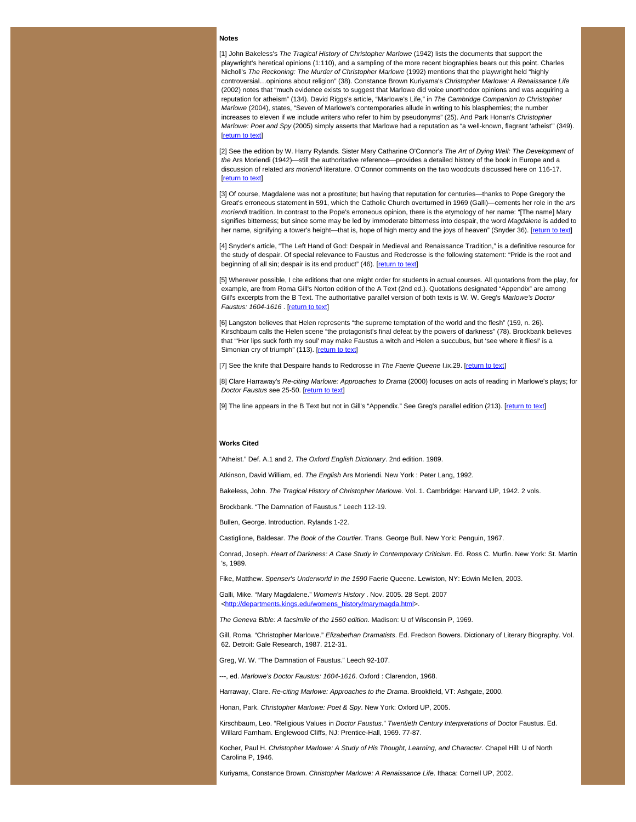### **Notes**

<span id="page-5-0"></span>[1] John Bakeless's *The Tragical History of Christopher Marlowe* (1942) lists the documents that support the playwright's heretical opinions (1:110), and a sampling of the more recent biographies bears out this point. Charles Nicholl's *The Reckoning: The Murder of Christopher Marlowe* (1992) mentions that the playwright held "highly controversial…opinions about religion" (38). Constance Brown Kuriyama's *Christopher Marlowe: A Renaissance Life* (2002) notes that "much evidence exists to suggest that Marlowe did voice unorthodox opinions and was acquiring a reputation for atheism" (134). David Riggs's article, "Marlowe's Life," in *The Cambridge Companion to Christopher Marlowe* (2004), states, "Seven of Marlowe's contemporaries allude in writing to his blasphemies; the number increases to eleven if we include writers who refer to him by pseudonyms" (25). And Park Honan's *Christopher Marlowe: Poet and Spy* (2005) simply asserts that Marlowe had a reputation as "a well-known, flagrant 'atheist'" (349). [[return to text](#page-0-1)]

<span id="page-5-1"></span>[2] See the edition by W. Harry Rylands. Sister Mary Catharine O'Connor's *The Art of Dying Well: The Development of the* Ars Moriendi (1942)—still the authoritative reference—provides a detailed history of the book in Europe and a discussion of related *ars moriendi* literature. O'Connor comments on the two woodcuts discussed here on 116-17. **I[return to text](#page-0-2)l** 

<span id="page-5-2"></span>[3] Of course, Magdalene was not a prostitute; but having that reputation for centuries—thanks to Pope Gregory the Great's erroneous statement in 591, which the Catholic Church overturned in 1969 (Galli)—cements her role in the *ars moriendi* tradition. In contrast to the Pope's erroneous opinion, there is the etymology of her name: "[The name] Mary signifies bitterness; but since some may be led by immoderate bitterness into despair, the word *Magdalene* is added to her name, signifying a tower's height—that is, hope of high mercy and the joys of heaven" (Snyder 36). [[return to text](#page-2-0)]

<span id="page-5-3"></span>[4] Snyder's article, "The Left Hand of God: Despair in Medieval and Renaissance Tradition," is a definitive resource for the study of despair. Of special relevance to Faustus and Redcrosse is the following statement: "Pride is the root and beginning of all sin; despair is its end product" (46). [\[return to text](#page-2-1)]

<span id="page-5-4"></span>[5] Wherever possible, I cite editions that one might order for students in actual courses. All quotations from the play, for example, are from Roma Gill's Norton edition of the A Text (2nd ed.). Quotations designated "Appendix" are among Gill's excerpts from the B Text. The authoritative parallel version of both texts is W. W. Greg's *Marlowe's Doctor Faustus: 1604-1616* . [\[return to text](#page-2-2)]

<span id="page-5-5"></span>[6] Langston believes that Helen represents "the supreme temptation of the world and the flesh" (159, n. 26). Kirschbaum calls the Helen scene "the protagonist's final defeat by the powers of darkness" (78). Brockbank believes that "'Her lips suck forth my soul' may make Faustus a witch and Helen a succubus, but 'see where it flies!' is a Simonian cry of triumph" (113). [\[return to text](#page-0-0)]

<span id="page-5-7"></span><span id="page-5-6"></span>[7] See the knife that Despaire hands to Redcrosse in The Faerie Queene I.ix.29. [\[return to text](#page-3-0)]

[8] Clare Harraway's *Re-citing Marlowe: Approaches to Drama* (2000) focuses on acts of reading in Marlowe's plays; for *Doctor Faustus* see 25-50. [\[return to text](#page-0-0)]

<span id="page-5-8"></span>[9] The line appears in the B Text but not in Gill's "Appendix." See Greg's parallel edition (213). [[return to text](#page-4-0)]

### **Works Cited**

"Atheist." Def. A.1 and 2. *The Oxford English Dictionary*. 2nd edition. 1989.

Atkinson, David William, ed. *The English* Ars Moriendi. New York : Peter Lang, 1992.

Bakeless, John. *The Tragical History of Christopher Marlowe*. Vol. 1. Cambridge: Harvard UP, 1942. 2 vols.

Brockbank. "The Damnation of Faustus." Leech 112-19.

Bullen, George. Introduction. Rylands 1-22.

Castiglione, Baldesar. *The Book of the Courtier*. Trans. George Bull. New York: Penguin, 1967.

Conrad, Joseph. *Heart of Darkness: A Case Study in Contemporary Criticism*. Ed. Ross C. Murfin. New York: St. Martin 's, 1989.

Fike, Matthew. *Spenser's Underworld in the 1590* Faerie Queene. Lewiston, NY: Edwin Mellen, 2003.

Galli, Mike. "Mary Magdalene." *Women's History* . Nov. 2005. 28 Sept. 2007 <[http://departments.kings.edu/womens\\_history/marymagda.html>](https://web.archive.org/web/20100610025116/http://departments.kings.edu/womens_history/marymagda.html).

*The Geneva Bible: A facsimile of the 1560 edition*. Madison: U of Wisconsin P, 1969.

Gill, Roma. "Christopher Marlowe." *Elizabethan Dramatists*. Ed. Fredson Bowers. Dictionary of Literary Biography. Vol. 62. Detroit: Gale Research, 1987. 212-31.

Greg, W. W. "The Damnation of Faustus." Leech 92-107.

---, ed. *Marlowe's Doctor Faustus: 1604-1616*. Oxford : Clarendon, 1968.

Harraway, Clare. *Re-citing Marlowe: Approaches to the Drama*. Brookfield, VT: Ashgate, 2000.

Honan, Park. *Christopher Marlowe: Poet & Spy*. New York: Oxford UP, 2005.

Kirschbaum, Leo. "Religious Values in *Doctor Faustus*." *Twentieth Century Interpretations of* Doctor Faustus. Ed. Willard Farnham. Englewood Cliffs, NJ: Prentice-Hall, 1969. 77-87.

Kocher, Paul H. *Christopher Marlowe: A Study of His Thought, Learning, and Character*. Chapel Hill: U of North Carolina P, 1946.

Kuriyama, Constance Brown. *Christopher Marlowe: A Renaissance Life*. Ithaca: Cornell UP, 2002.